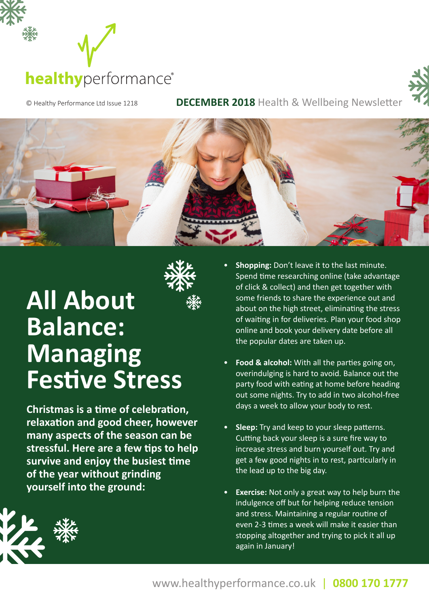



© Healthy Performance Ltd Issue 1218 **DECEMBER 2018** Health & Wellbeing Newsletter





# **All About Balance: Managing Festive Stress**

**Christmas is a time of celebration, relaxation and good cheer, however many aspects of the season can be stressful. Here are a few tips to help survive and enjoy the busiest time of the year without grinding yourself into the ground:**

- **Shopping:** Don't leave it to the last minute. Spend time researching online (take advantage of click & collect) and then get together with some friends to share the experience out and about on the high street, eliminating the stress of waiting in for deliveries. Plan your food shop online and book your delivery date before all the popular dates are taken up.
- **Food & alcohol:** With all the parties going on, overindulging is hard to avoid. Balance out the party food with eating at home before heading out some nights. Try to add in two alcohol-free days a week to allow your body to rest.
- **Sleep:** Try and keep to your sleep patterns. Cutting back your sleep is a sure fire way to increase stress and burn yourself out. Try and get a few good nights in to rest, particularly in the lead up to the big day.
- **Exercise:** Not only a great way to help burn the indulgence off but for helping reduce tension and stress. Maintaining a regular routine of even 2-3 times a week will make it easier than stopping altogether and trying to pick it all up again in January!